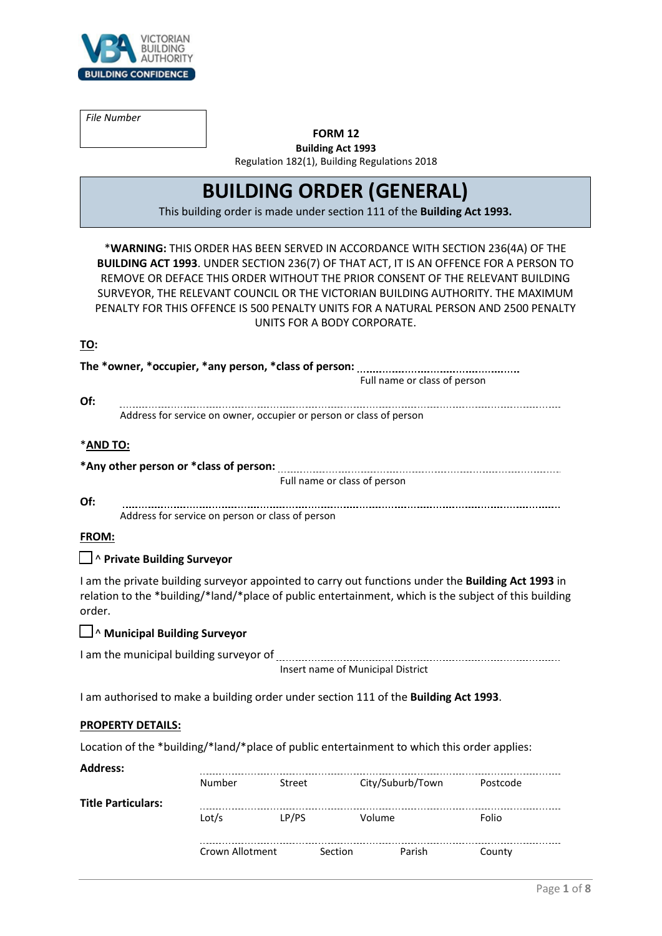

*File Number*

# **FORM 12**

**Building Act 1993** Regulation 182(1), Building Regulations 2018

# **BUILDING ORDER (GENERAL)**

This building order is made under section 111 of the **Building Act 1993.**

\***WARNING:** THIS ORDER HAS BEEN SERVED IN ACCORDANCE WITH SECTION 236(4A) OF THE **BUILDING ACT 1993**. UNDER SECTION 236(7) OF THAT ACT, IT IS AN OFFENCE FOR A PERSON TO REMOVE OR DEFACE THIS ORDER WITHOUT THE PRIOR CONSENT OF THE RELEVANT BUILDING SURVEYOR, THE RELEVANT COUNCIL OR THE VICTORIAN BUILDING AUTHORITY. THE MAXIMUM PENALTY FOR THIS OFFENCE IS 500 PENALTY UNITS FOR A NATURAL PERSON AND 2500 PENALTY UNITS FOR A BODY CORPORATE.

#### **TO:**

|                                                                                      | Full name or class of person  |                                                  |                                                                     |                                                                                                                                                                                                             |                         |
|--------------------------------------------------------------------------------------|-------------------------------|--------------------------------------------------|---------------------------------------------------------------------|-------------------------------------------------------------------------------------------------------------------------------------------------------------------------------------------------------------|-------------------------|
| Of:                                                                                  |                               |                                                  |                                                                     |                                                                                                                                                                                                             |                         |
|                                                                                      |                               |                                                  | Address for service on owner, occupier or person or class of person |                                                                                                                                                                                                             |                         |
| *AND TO:                                                                             |                               |                                                  |                                                                     |                                                                                                                                                                                                             |                         |
|                                                                                      |                               |                                                  |                                                                     |                                                                                                                                                                                                             |                         |
|                                                                                      |                               |                                                  | Full name or class of person                                        |                                                                                                                                                                                                             |                         |
| Of:                                                                                  |                               | Address for service on person or class of person |                                                                     |                                                                                                                                                                                                             |                         |
| FROM:                                                                                |                               |                                                  |                                                                     |                                                                                                                                                                                                             |                         |
|                                                                                      | □ ^ Private Building Surveyor |                                                  |                                                                     |                                                                                                                                                                                                             |                         |
| order.                                                                               |                               |                                                  |                                                                     | I am the private building surveyor appointed to carry out functions under the Building Act 1993 in<br>relation to the *building/*land/*place of public entertainment, which is the subject of this building |                         |
|                                                                                      | Municipal Building Surveyor   |                                                  |                                                                     |                                                                                                                                                                                                             |                         |
|                                                                                      |                               |                                                  | Insert name of Municipal District                                   |                                                                                                                                                                                                             |                         |
| I am authorised to make a building order under section 111 of the Building Act 1993. |                               |                                                  |                                                                     |                                                                                                                                                                                                             |                         |
|                                                                                      | <b>PROPERTY DETAILS:</b>      |                                                  |                                                                     |                                                                                                                                                                                                             |                         |
|                                                                                      |                               |                                                  |                                                                     | Location of the *building/*land/*place of public entertainment to which this order applies:                                                                                                                 |                         |
| <b>Address:</b>                                                                      |                               |                                                  |                                                                     |                                                                                                                                                                                                             |                         |
|                                                                                      |                               |                                                  |                                                                     | Number Street City/Suburb/Town                                                                                                                                                                              | Postcode                |
| <b>Title Particulars:</b>                                                            |                               |                                                  |                                                                     |                                                                                                                                                                                                             | <u>----------------</u> |
|                                                                                      |                               | Lot/s                                            | LP/PS                                                               | Volume                                                                                                                                                                                                      | Folio                   |
|                                                                                      |                               |                                                  |                                                                     |                                                                                                                                                                                                             |                         |

Crown Allotment Section Parish County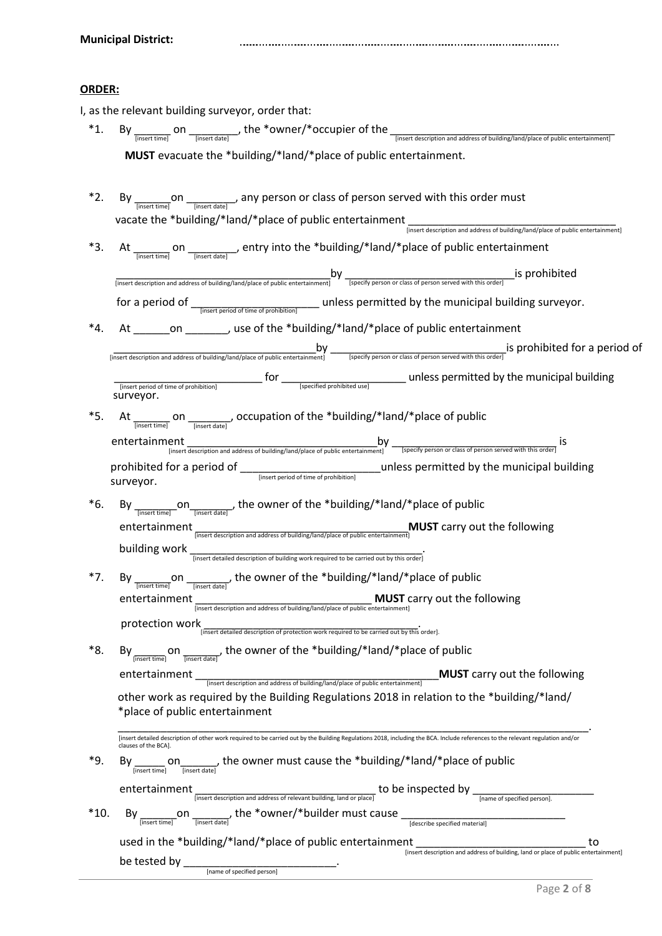#### **ORDER:**

| I, as the relevant building surveyor, order that: |  |  |
|---------------------------------------------------|--|--|
|---------------------------------------------------|--|--|

- \*1. By  $\frac{1}{\frac{1}{\left[ \text{insert time} \right]}}$  on  $\frac{1}{\frac{1}{\left[ \text{insert date} \right]}}$ , the \*owner/\*occupier of the  $\frac{1}{\left[ \text{insert decision and address of building/land/place of public entertainment} \right]}$ **MUST** evacuate the \*building/\*land/\*place of public entertainment.
- \*2. By  $\frac{1}{\text{[insert time]}}$  on  $\frac{1}{\text{[insert date]}}$ , any person or class of person served with this order must vacate the \*building/\*land/\*place of public entertainment water description and address of building/land/place of public entertainment]
- \*3. At  $\frac{1}{\frac{[inset time]}{inset state}}$  on  $\frac{1}{\frac{[inset date]}{inset state}}$ , entry into the \*building/\*land/\*place of public entertainment  $\frac{b}{b}$  [insert description and address of building/land/place of public entertainment]  $\frac{b}{b}$  [specify person or class of person served with this order] [S prohibited for a period of <sub>— linsert period of time of prohibition]</sub> \_\_\_\_\_ unless permitted by the municipal building surveyor.
- \*4. At \_\_\_\_\_\_on \_\_\_\_\_\_\_, use of the \*building/\*land/\*place of public entertainment \_\_\_\_\_\_\_\_\_\_\_\_\_\_\_\_\_\_\_\_\_\_\_\_\_\_\_\_\_\_\_\_\_\_by \_\_\_\_\_\_\_\_\_\_\_\_\_\_\_\_\_\_\_\_\_\_\_\_\_\_\_\_\_is prohibited for a period of [insert description and address of building/land/place of public entertainment] [specify person or class of person served with this order] \_\_\_\_\_\_\_\_\_\_\_\_\_\_\_\_\_\_\_\_\_\_\_\_\_ for \_\_\_\_\_\_\_\_\_\_\_\_\_\_\_\_\_\_\_\_\_ unless permitted by the municipal building [insert period of time of prohibition] [specified prohibited use] surveyor.
- \*5. At  $\frac{1}{\text{[insert time]}}$  on  $\frac{1}{\text{[insert date]}}$ , occupation of the \*building/\*land/\*place of public entertainment [insert description and address of building/land/place of public entertainment]  $-y$  [specify person or class of person served with this order] S prohibited for a period of \_\_\_\_\_\_\_\_\_\_\_\_\_\_\_\_\_\_\_\_\_\_\_unless permitted by the municipal building [insert period of time of prohibition] surveyor.
- \*6. By  $\frac{1}{\frac{[insert time]}{[insert time]}}$ , the owner of the \*building/\*land/\*place of public entertainment **insert description and address of building/land/place of public entertainment**]<br> **Insert description and address of building/land/place of public entertainment**] building work \_\_\_\_\_\_\_\_\_\_\_\_\_\_\_\_\_\_\_\_\_\_\_\_\_\_\_\_\_\_\_\_\_\_\_\_\_\_. [insert detailed description of building work required to be carried out by this order]
- entertainment **Exercity and address of building/land/place of public entertainment**]<br> **Insert description and address of building/land/place of public entertainment**] \*7. By  $\frac{1}{\frac{1}{\text{[insert time]}}}$  on  $\frac{1}{\frac{1}{\text{[insert date]}}}$ , the owner of the \*building/\*land/\*place of public protection work<br>
[insert detailed description of protection work required to be carried out by this order].
- \*8. By  $_{\frac{(\text{insert time})}{(\text{insert time})}}$  on  $_{\frac{(\text{insert time})}{(\text{insert date})}}$ , the owner of the \*building/\*land/\*place of public entertainment \_\_\_\_\_\_\_\_\_\_\_\_\_\_\_\_\_\_\_\_\_\_\_\_\_\_\_\_\_\_\_\_\_\_\_\_\_\_\_\_**MUST** carry out the following [insert description and address of building/land/place of public entertainment] other work as required by the Building Regulations 2018 in relation to the \*building/\*land/ \*place of public entertainment \_\_\_\_\_\_\_\_\_\_\_\_\_\_\_\_\_\_\_\_\_\_\_\_\_\_\_\_\_\_\_\_\_\_\_\_\_\_\_\_\_\_\_\_\_\_\_\_\_\_\_\_\_\_\_\_\_\_\_\_\_\_\_\_\_\_\_\_\_\_\_\_\_\_\_\_\_.

|     | [insert detailed description of other work required to be carried out by the Building Regulations 2018, including the BCA. Include references to the relevant regulation and/or<br>clauses of the BCAI. |
|-----|---------------------------------------------------------------------------------------------------------------------------------------------------------------------------------------------------------|
| *9. | the owner must cause the *building/*land/*place of public<br>Bv<br>on.<br>linsert timel<br>linsert datel                                                                                                |

| entertainment |                                                                      | to be inspected by |                             |
|---------------|----------------------------------------------------------------------|--------------------|-----------------------------|
|               | [insert description and address of relevant building, land or place] |                    | Iname of specified person]. |

\*10. By  $\sum_{\text{[insert time]}}$  on  $\sum_{\text{[insert date]}}$ , the \*owner/\*builder must cause  $\sum_{\text{[describe specified material]}}$ used in the \*building/\*land/\*place of public entertainment \_\_\_\_\_\_\_\_\_\_\_\_\_\_\_\_\_\_\_\_\_\_\_\_\_\_\_\_\_\_\_\_ to be tested by \_\_\_\_\_\_\_\_\_\_\_\_\_\_\_\_\_\_\_\_\_\_\_\_\_. [insert description and address of building, land or place of public entertainment]

[name of specified person]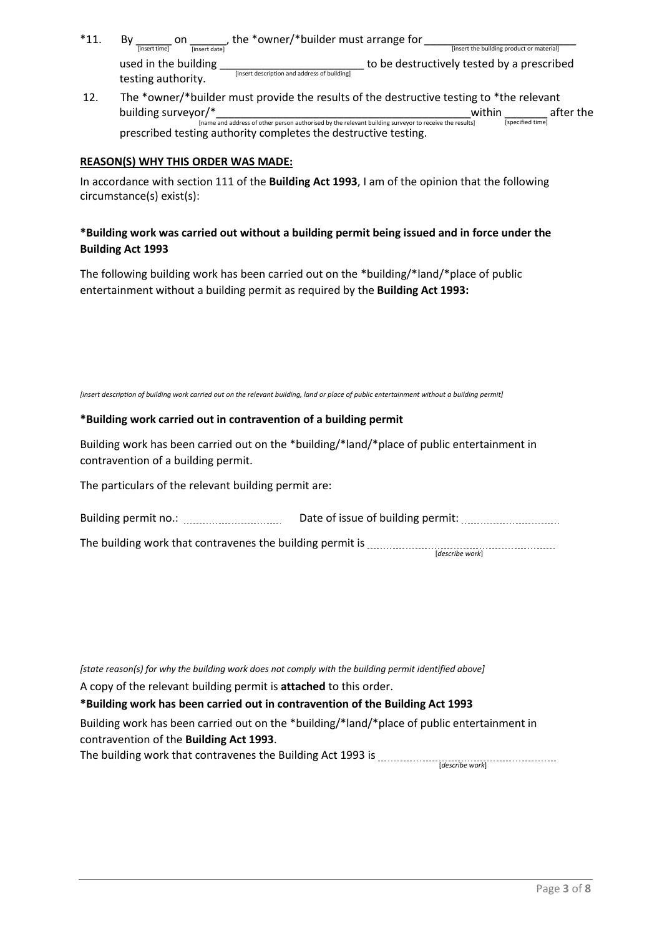- \*11. By \_\_\_\_\_\_ on \_\_\_\_\_\_, the \*owner/\*builder must arrange for *\_\_\_\_\_\_\_\_\_\_\_\_\_\_\_\_\_\_\_\_\_\_\_\_\_* [insert time] [insert date] [insert the building product or material] used in the building \_\_\_\_\_\_\_\_\_\_\_\_\_\_\_\_\_\_\_\_\_\_\_\_\_\_\_\_\_\_\_\_ to be destructively tested by a prescribed testing authority. [insert description and address of building]
- 12. The \*owner/\*builder must provide the results of the destructive testing to \*the relevant building surveyor/\*\_\_\_\_\_\_\_\_\_\_\_\_\_\_\_\_\_\_\_\_\_\_\_\_\_\_\_\_\_\_\_\_\_\_\_\_\_\_\_\_\_\_within \_\_\_\_\_\_\_ after the [name and address of other person authorised by the relevant building surveyor to receive the results] [specified time] prescribed testing authority completes the destructive testing.

# **REASON(S) WHY THIS ORDER WAS MADE:**

In accordance with section 111 of the **Building Act 1993**, I am of the opinion that the following circumstance(s) exist(s):

# **\*Building work was carried out without a building permit being issued and in force under the Building Act 1993**

The following building work has been carried out on the \*building/\*land/\*place of public entertainment without a building permit as required by the **Building Act 1993:**

[insert description of building work carried out on the relevant building, land or place of public entertainment without a building permit]

#### **\*Building work carried out in contravention of a building permit**

Building work has been carried out on the \*building/\*land/\*place of public entertainment in contravention of a building permit.

The particulars of the relevant building permit are:

| Building permit no.: | Date of issue of building permit: |
|----------------------|-----------------------------------|
|                      |                                   |
|                      |                                   |

The building work that contravenes the building permit is [*describe work*]

*[state reason(s) for why the building work does not comply with the building permit identified above]* A copy of the relevant building permit is **attached** to this order. **\*Building work has been carried out in contravention of the Building Act 1993** Building work has been carried out on the \*building/\*land/\*place of public entertainment in contravention of the **Building Act 1993**. The building work that contravenes the Building Act 1993 is [*describe work*]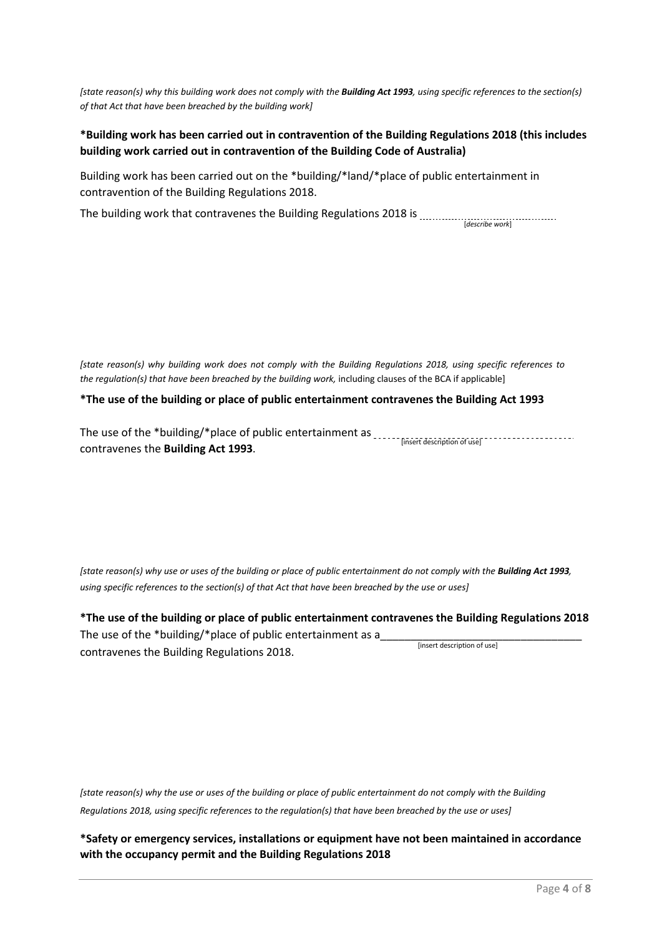*[state reason(s) why this building work does not comply with the Building Act 1993, using specific references to the section(s) of that Act that have been breached by the building work]* 

# **\*Building work has been carried out in contravention of the Building Regulations 2018 (this includes building work carried out in contravention of the Building Code of Australia)**

Building work has been carried out on the \*building/\*land/\*place of public entertainment in contravention of the Building Regulations 2018.

The building work that contravenes the Building Regulations 2018 is [*describe work*]

*[state reason(s) why building work does not comply with the Building Regulations 2018, using specific references to the regulation(s) that have been breached by the building work,* including clauses of the BCA if applicable]

#### **\*The use of the building or place of public entertainment contravenes the Building Act 1993**

The use of the \*building/\*place of public entertainment as \_\_\_\_\_\_<sub>[insert description of use]</sub> contravenes the **Building Act 1993**.

*[state reason(s) why use or uses of the building or place of public entertainment do not comply with the Building Act 1993, using specific references to the section(s) of that Act that have been breached by the use or uses]* 

**\*The use of the building or place of public entertainment contravenes the Building Regulations 2018** The use of the \*building/\*place of public entertainment as a contravenes the Building Regulations 2018. [insert description of use]

*[state reason(s) why the use or uses of the building or place of public entertainment do not comply with the Building Regulations 2018, using specific references to the regulation(s) that have been breached by the use or uses]*

**\*Safety or emergency services, installations or equipment have not been maintained in accordance with the occupancy permit and the Building Regulations 2018**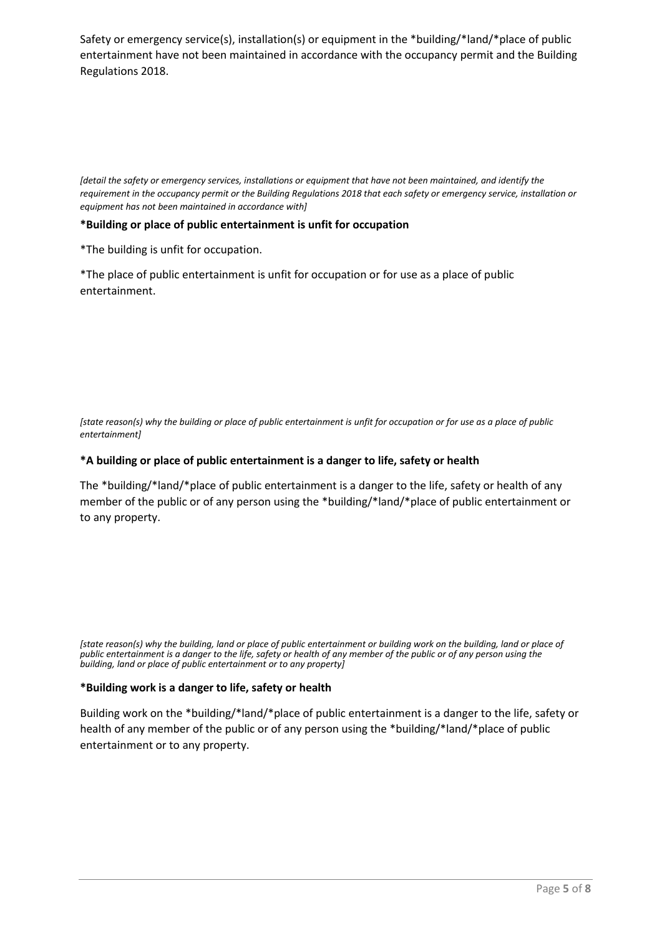Safety or emergency service(s), installation(s) or equipment in the \*building/\*land/\*place of public entertainment have not been maintained in accordance with the occupancy permit and the Building Regulations 2018.

*[detail the safety or emergency services, installations or equipment that have not been maintained, and identify the requirement in the occupancy permit or the Building Regulations 2018 that each safety or emergency service, installation or equipment has not been maintained in accordance with]* 

#### **\*Building or place of public entertainment is unfit for occupation**

\*The building is unfit for occupation.

\*The place of public entertainment is unfit for occupation or for use as a place of public entertainment.

*[state reason(s) why the building or place of public entertainment is unfit for occupation or for use as a place of public entertainment]*

#### **\*A building or place of public entertainment is a danger to life, safety or health**

The \*building/\*land/\*place of public entertainment is a danger to the life, safety or health of any member of the public or of any person using the \*building/\*land/\*place of public entertainment or to any property.

*[state reason(s) why the building, land or place of public entertainment or building work on the building, land or place of public entertainment is a danger to the life, safety or health of any member of the public or of any person using the building, land or place of public entertainment or to any property]*

#### **\*Building work is a danger to life, safety or health**

Building work on the \*building/\*land/\*place of public entertainment is a danger to the life, safety or health of any member of the public or of any person using the \*building/\*land/\*place of public entertainment or to any property.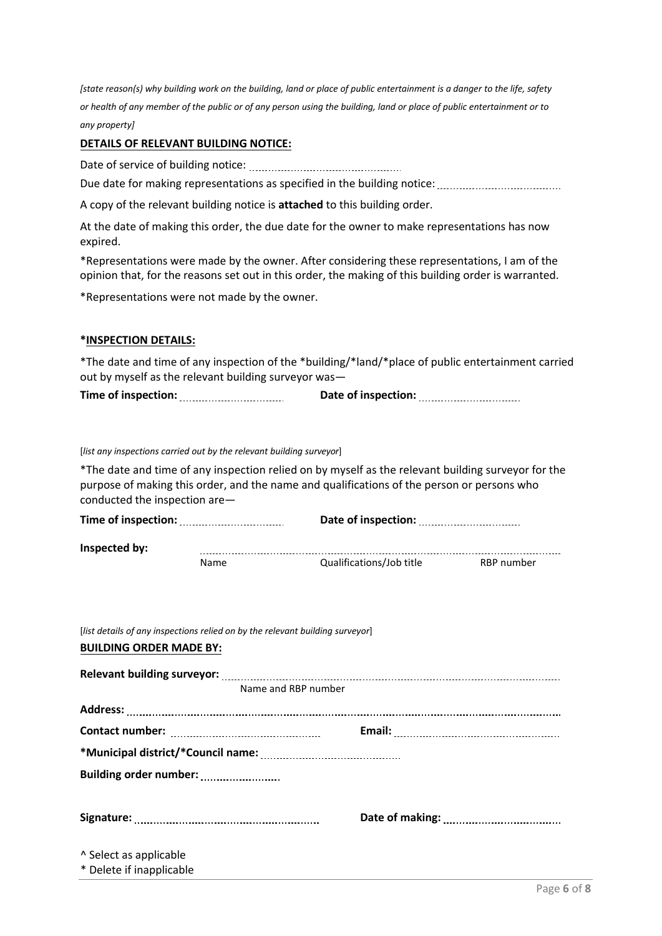*[state reason(s) why building work on the building, land or place of public entertainment is a danger to the life, safety or health of any member of the public or of any person using the building, land or place of public entertainment or to any property]*

#### **DETAILS OF RELEVANT BUILDING NOTICE:**

Date of service of building notice:

Due date for making representations as specified in the building notice:

A copy of the relevant building notice is **attached** to this building order.

At the date of making this order, the due date for the owner to make representations has now expired.

\*Representations were made by the owner. After considering these representations, I am of the opinion that, for the reasons set out in this order, the making of this building order is warranted.

\*Representations were not made by the owner.

#### **\*INSPECTION DETAILS:**

\*The date and time of any inspection of the \*building/\*land/\*place of public entertainment carried out by myself as the relevant building surveyor was—

| Time of inspection: | Date of inspection: |
|---------------------|---------------------|
|                     |                     |

#### [*list any inspections carried out by the relevant building surveyor*]

\*The date and time of any inspection relied on by myself as the relevant building surveyor for the purpose of making this order, and the name and qualifications of the person or persons who conducted the inspection are—

| Time of inspection: |      | Date of inspection:      |            |  |
|---------------------|------|--------------------------|------------|--|
| Inspected by:       |      |                          |            |  |
|                     | Name | Qualifications/Job title | RBP number |  |

## **BUILDING ORDER MADE BY:**

| Name and RBP number                                        |  |
|------------------------------------------------------------|--|
|                                                            |  |
|                                                            |  |
|                                                            |  |
| Building order number: Manuscritted Building order number: |  |
|                                                            |  |
|                                                            |  |
|                                                            |  |
| A Select as applicable                                     |  |
| * Delete if inapplicable                                   |  |